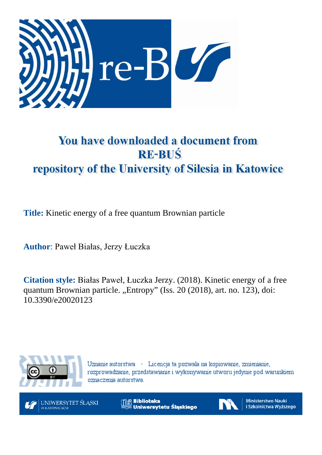

# You have downloaded a document from **RE-BUŚ** repository of the University of Silesia in Katowice

**Title:** Kinetic energy of a free quantum Brownian particle

**Author**: Paweł Białas, Jerzy Łuczka

**Citation style:** Białas Paweł, Łuczka Jerzy. (2018). Kinetic energy of a free quantum Brownian particle. "Entropy" (Iss. 20 (2018), art. no. 123), doi: 10.3390/e20020123



Uznanie autorstwa - Licencja ta pozwala na kopiowanie, zmienianie, rozprowadzanie, przedstawianie i wykonywanie utworu jedynie pod warunkiem oznaczenia autorstwa.



**Biblioteka** Uniwersytetu Śląskiego



**Ministerstwo Nauki** i Szkolnictwa Wyższego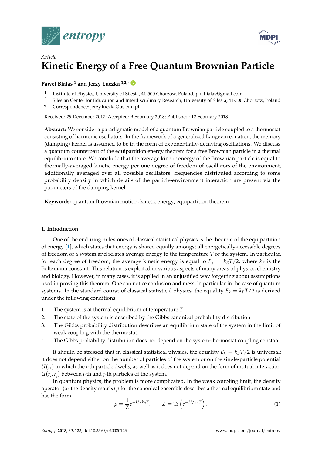



## *Article* **Kinetic Energy of a Free Quantum Brownian Particle**

### **Paweł Bialas <sup>1</sup> and Jerzy Łuczka 1,2,\* [ID](https://orcid.org/0000-0003-2296-4532)**

- 1 Institute of Physics, University of Silesia, 41-500 Chorzów, Poland; p.d.bialas@gmail.com
- <sup>2</sup> Silesian Center for Education and Interdisciplinary Research, University of Silesia, 41-500 Chorzów, Poland
- **\*** Correspondence: jerzy.luczka@us.edu.pl

Received: 29 December 2017; Accepted: 9 February 2018; Published: 12 February 2018

**Abstract:** We consider a paradigmatic model of a quantum Brownian particle coupled to a thermostat consisting of harmonic oscillators. In the framework of a generalized Langevin equation, the memory (damping) kernel is assumed to be in the form of exponentially-decaying oscillations. We discuss a quantum counterpart of the equipartition energy theorem for a free Brownian particle in a thermal equilibrium state. We conclude that the average kinetic energy of the Brownian particle is equal to thermally-averaged kinetic energy per one degree of freedom of oscillators of the environment, additionally averaged over all possible oscillators' frequencies distributed according to some probability density in which details of the particle-environment interaction are present via the parameters of the damping kernel.

**Keywords:** quantum Brownian motion; kinetic energy; equipartition theorem

#### **1. Introduction**

One of the enduring milestones of classical statistical physics is the theorem of the equipartition of energy [\[1\]](#page-15-0), which states that energy is shared equally amongst all energetically-accessible degrees of freedom of a system and relates average energy to the temperature *T* of the system. In particular, for each degree of freedom, the average kinetic energy is equal to  $E_k = k_B T/2$ , where  $k_B$  is the Boltzmann constant. This relation is exploited in various aspects of many areas of physics, chemistry and biology. However, in many cases, it is applied in an unjustified way forgetting about assumptions used in proving this theorem. One can notice confusion and mess, in particular in the case of quantum systems. In the standard course of classical statistical physics, the equality  $E_k = k_B T/2$  is derived under the following conditions:

- 1. The system is at thermal equilibrium of temperature *T*.
- 2. The state of the system is described by the Gibbs canonical probability distribution.
- 3. The Gibbs probability distribution describes an equilibrium state of the system in the limit of weak coupling with the thermostat.
- 4. The Gibbs probability distribution does not depend on the system-thermostat coupling constant.

It should be stressed that in classical statistical physics, the equality  $E_k = k_B T/2$  is universal: it does not depend either on the number of particles of the system or on the single-particle potential  $U(\vec{r}_i)$  in which the *i*-th particle dwells, as well as it does not depend on the form of mutual interaction  $U(\vec{r}_i, \vec{r}_j)$  between *i*-th and *j*-th particles of the system.

In quantum physics, the problem is more complicated. In the weak coupling limit, the density operator (or the density matrix) *ρ* for the canonical ensemble describes a thermal equilibrium state and has the form:

$$
\rho = \frac{1}{Z} e^{-H/k_B T}, \qquad Z = \text{Tr}\left(e^{-H/k_B T}\right),\tag{1}
$$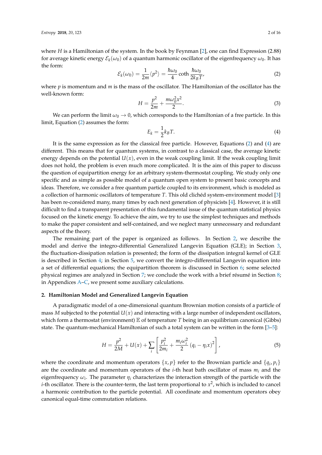where *H* is a Hamiltonian of the system. In the book by Feynman [\[2\]](#page-15-1), one can find Expression (2.88) for average kinetic energy  $\mathcal{E}_k(\omega_0)$  of a quantum harmonic oscillator of the eigenfrequency  $\omega_0$ . It has the form:

<span id="page-2-0"></span>
$$
\mathcal{E}_k(\omega_0) = \frac{1}{2m} \langle p^2 \rangle = \frac{\hbar \omega_0}{4} \coth \frac{\hbar \omega_0}{2k_B T'}
$$
 (2)

where *p* is momentum and *m* is the mass of the oscillator. The Hamiltonian of the oscillator has the well-known form:

$$
H = \frac{p^2}{2m} + \frac{m\omega_0^2 x^2}{2}.
$$
 (3)

We can perform the limit  $\omega_0 \to 0$ , which corresponds to the Hamiltonian of a free particle. In this limit, Equation [\(2\)](#page-2-0) assumes the form:

<span id="page-2-1"></span>
$$
E_k = \frac{1}{2}k_B T. \tag{4}
$$

It is the same expression as for the classical free particle. However, Equations [\(2\)](#page-2-0) and [\(4\)](#page-2-1) are different. This means that for quantum systems, in contrast to a classical case, the average kinetic energy depends on the potential  $U(x)$ , even in the weak coupling limit. If the weak coupling limit does not hold, the problem is even much more complicated. It is the aim of this paper to discuss the question of equipartition energy for an arbitrary system-thermostat coupling. We study only one specific and as simple as possible model of a quantum open system to present basic concepts and ideas. Therefore, we consider a free quantum particle coupled to its environment, which is modeled as a collection of harmonic oscillators of temperature *T*. This old clichéd system-environment model [\[3\]](#page-15-2) has been re-considered many, many times by each next generation of physicists [\[4\]](#page-15-3). However, it is still difficult to find a transparent presentation of this fundamental issue of the quantum statistical physics focused on the kinetic energy. To achieve the aim, we try to use the simplest techniques and methods to make the paper consistent and self-contained, and we neglect many unnecessary and redundant aspects of the theory.

The remaining part of the paper is organized as follows. In Section [2,](#page-2-2) we describe the model and derive the integro-differential Generalized Langevin Equation (GLE); in Section [3,](#page-4-0) the fluctuation-dissipation relation is presented; the form of the dissipation integral kernel of GLE is described in Section [4;](#page-5-0) in Section [5,](#page-5-1) we convert the integro-differential Langevin equation into a set of differential equations; the equipartition theorem is discussed in Section  $6$ ; some selected physical regimes are analyzed in Section [7;](#page-9-0) we conclude the work with a brief résumé in Section [8;](#page-12-0) in Appendices [A–](#page-13-0)[C,](#page-14-0) we present some auxiliary calculations.

#### <span id="page-2-2"></span>**2. Hamiltonian Model and Generalized Langevin Equation**

A paradigmatic model of a one-dimensional quantum Brownian motion consists of a particle of mass *M* subjected to the potential  $U(x)$  and interacting with a large number of independent oscillators, which form a thermostat (environment) E of temperature *T* being in an equilibrium canonical (Gibbs) state. The quantum-mechanical Hamiltonian of such a total system can be written in the form [\[3](#page-15-2)[–5\]](#page-15-4):

$$
H = \frac{p^2}{2M} + U(x) + \sum_{i} \left[ \frac{p_i^2}{2m_i} + \frac{m_i \omega_i^2}{2} (q_i - \eta_i x)^2 \right],
$$
 (5)

where the coordinate and momentum operators  $\{x, p\}$  refer to the Brownian particle and  $\{q_i, p_i\}$ are the coordinate and momentum operators of the *i*-th heat bath oscillator of mass *m<sup>i</sup>* and the eigenfrequency  $\omega_i$ . The parameter  $\eta_i$  characterizes the interaction strength of the particle with the *i*-th oscillator. There is the counter-term, the last term proportional to  $x^2$ , which is included to cancel a harmonic contribution to the particle potential. All coordinate and momentum operators obey canonical equal-time commutation relations.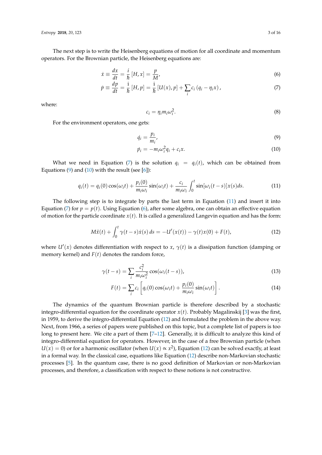The next step is to write the Heisenberg equations of motion for all coordinate and momentum operators. For the Brownian particle, the Heisenberg equations are:

$$
\dot{x} \equiv \frac{dx}{dt} = \frac{i}{\hbar} \left[ H, x \right] = \frac{p}{M'},\tag{6}
$$

$$
\dot{p} \equiv \frac{dp}{dt} = \frac{i}{\hbar} [H, p] = \frac{i}{\hbar} [U(x), p] + \sum_{i} c_{i} (q_{i} - \eta_{i} x), \tag{7}
$$

where:

<span id="page-3-4"></span><span id="page-3-2"></span><span id="page-3-1"></span><span id="page-3-0"></span>
$$
c_i = \eta_i m_i \omega_i^2. \tag{8}
$$

For the environment operators, one gets:

$$
\dot{q}_i = \frac{p_i}{m_i},\tag{9}
$$

<span id="page-3-5"></span>
$$
\dot{p}_i = -m_i \omega_i^2 q_i + c_i x. \tag{10}
$$

What we need in Equation [\(7\)](#page-3-0) is the solution  $q_i = q_i(t)$ , which can be obtained from Equations [\(9\)](#page-3-1) and [\(10\)](#page-3-2) with the result (see  $[6]$ ):

<span id="page-3-3"></span>
$$
q_i(t) = q_i(0)\cos(\omega_i t) + \frac{p_i(0)}{m_i\omega_i}\sin(\omega_i t) + \frac{c_i}{m_i\omega_i}\int_0^t \sin[\omega_i (t-s)]x(s)ds.
$$
 (11)

The following step is to integrate by parts the last term in Equation [\(11\)](#page-3-3) and insert it into Equation [\(7\)](#page-3-0) for  $p = p(t)$ . Using Equation [\(6\)](#page-3-4), after some algebra, one can obtain an effective equation of motion for the particle coordinate  $x(t)$ . It is called a generalized Langevin equation and has the form:

$$
M\ddot{x}(t) + \int_0^t \gamma(t-s)\dot{x}(s) ds = -U'(x(t)) - \gamma(t)x(0) + F(t),
$$
\n(12)

where  $U'(x)$  denotes differentiation with respect to *x*,  $\gamma(t)$  is a dissipation function (damping or memory kernel) and *F*(*t*) denotes the random force,

$$
\gamma(t-s) = \sum_{i} \frac{c_i^2}{m_i \omega_i^2} \cos(\omega_i(t-s)),\tag{13}
$$

<span id="page-3-6"></span>
$$
F(t) = \sum_{i} c_i \left[ q_i(0) \cos(\omega_i t) + \frac{p_i(0)}{m_i \omega_i} \sin(\omega_i t) \right].
$$
 (14)

The dynamics of the quantum Brownian particle is therefore described by a stochastic integro-differential equation for the coordinate operator  $x(t)$ . Probably Magalinskij [\[3\]](#page-15-2) was the first, in 1959, to derive the integro-differential Equation [\(12\)](#page-3-5) and formulated the problem in the above way. Next, from 1966, a series of papers were published on this topic, but a complete list of papers is too long to present here. We cite a part of them [\[7](#page-15-6)[–12\]](#page-16-0). Generally, it is difficult to analyze this kind of integro-differential equation for operators. However, in the case of a free Brownian particle (when  $U(x) = 0$ ) or for a harmonic oscillator (when  $U(x) \propto x^2$ ), Equation [\(12\)](#page-3-5) can be solved exactly, at least in a formal way. In the classical case, equations like Equation [\(12\)](#page-3-5) describe non-Markovian stochastic processes [\[5\]](#page-15-4). In the quantum case, there is no good definition of Markovian or non-Markovian processes, and therefore, a classification with respect to these notions is not constructive.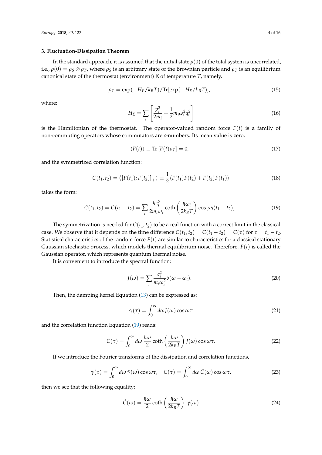#### <span id="page-4-0"></span>**3. Fluctuation-Dissipation Theorem**

In the standard approach, it is assumed that the initial state  $\rho(0)$  of the total system is uncorrelated, i.e.,  $\rho(0) = \rho_S \otimes \rho_T$ , where  $\rho_S$  is an arbitrary state of the Brownian particle and  $\rho_T$  is an equilibrium canonical state of the thermostat (environment) E of temperature *T*, namely,

$$
\rho_T = \exp(-H_E/k_B T)/\text{Tr}[\exp(-H_E/k_B T)],\tag{15}
$$

where:

$$
H_E = \sum_i \left[ \frac{p_i^2}{2m_i} + \frac{1}{2} m_i \omega_i^2 q_i^2 \right]
$$
 (16)

is the Hamiltonian of the thermostat. The operator-valued random force  $F(t)$  is a family of non-commuting operators whose commutators are *c*-numbers. Its mean value is zero,

<span id="page-4-1"></span>
$$
\langle F(t) \rangle \equiv \text{Tr} \left[ F(t) \rho_T \right] = 0, \tag{17}
$$

and the symmetrized correlation function:

<span id="page-4-4"></span>
$$
C(t_1, t_2) = \langle [F(t_1); F(t_2)]_+ \rangle \equiv \frac{1}{2} \langle F(t_1)F(t_2) + F(t_2)F(t_1) \rangle \tag{18}
$$

takes the form:

$$
C(t_1, t_2) = C(t_1 - t_2) = \sum_i \frac{\hbar c_i^2}{2m_i \omega_i} \coth\left(\frac{\hbar \omega_i}{2k_B T}\right) \cos[\omega_i (t_1 - t_2)].
$$
\n(19)

The symmetrization is needed for  $C(t_1, t_2)$  to be a real function with a correct limit in the classical case. We observe that it depends on the time difference  $C(t_1, t_2) = C(t_1 - t_2) = C(\tau)$  for  $\tau = t_1 - t_2$ . Statistical characteristics of the random force  $F(t)$  are similar to characteristics for a classical stationary Gaussian stochastic process, which models thermal equilibrium noise. Therefore, *F*(*t*) is called the Gaussian operator, which represents quantum thermal noise.

It is convenient to introduce the spectral function:

<span id="page-4-3"></span>
$$
J(\omega) = \sum_{i} \frac{c_i^2}{m_i \omega_i^2} \delta(\omega - \omega_i).
$$
 (20)

Then, the damping kernel Equation [\(13\)](#page-3-6) can be expressed as:

$$
\gamma(\tau) = \int_0^\infty d\omega J(\omega) \cos \omega \tau \tag{21}
$$

and the correlation function Equation [\(19\)](#page-4-1) reads:

$$
C(\tau) = \int_0^\infty d\omega \, \frac{\hbar \omega}{2} \coth\left(\frac{\hbar \omega}{2k_B T}\right) J(\omega) \cos \omega \tau.
$$
 (22)

If we introduce the Fourier transforms of the dissipation and correlation functions,

<span id="page-4-5"></span>
$$
\gamma(\tau) = \int_0^\infty d\omega \, \hat{\gamma}(\omega) \cos \omega \tau, \quad C(\tau) = \int_0^\infty d\omega \, \hat{C}(\omega) \cos \omega \tau,
$$
 (23)

then we see that the following equality:

<span id="page-4-2"></span>
$$
\hat{C}(\omega) = \frac{\hbar\omega}{2}\coth\left(\frac{\hbar\omega}{2k_BT}\right)\,\hat{\gamma}(\omega) \tag{24}
$$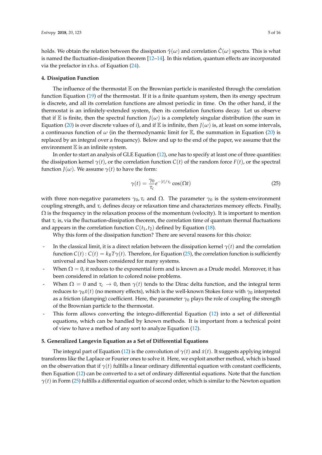holds. We obtain the relation between the dissipation  $\hat{\gamma}(\omega)$  and correlation  $\hat{C}(\omega)$  spectra. This is what is named the fluctuation-dissipation theorem [\[12](#page-16-0)[–14\]](#page-16-1). In this relation, quantum effects are incorporated via the prefactor in r.h.s. of Equation [\(24\)](#page-4-2).

#### <span id="page-5-0"></span>**4. Dissipation Function**

The influence of the thermostat  $E$  on the Brownian particle is manifested through the correlation function Equation [\(19\)](#page-4-1) of the thermostat. If it is a finite quantum system, then its energy spectrum is discrete, and all its correlation functions are almost periodic in time. On the other hand, if the thermostat is an infinitely-extended system, then its correlation functions decay. Let us observe that if E is finite, then the spectral function  $J(\omega)$  is a completely singular distribution (the sum in Equation [\(20\)](#page-4-3) is over discrete values of *i*), and if E is infinite, then  $J(\omega)$  is, at least on some intervals, a continuous function of  $\omega$  (in the thermodynamic limit for  $\mathbb E$ , the summation in Equation [\(20\)](#page-4-3) is replaced by an integral over a frequency). Below and up to the end of the paper, we assume that the environment  $E$  is an infinite system.

In order to start an analysis of GLE Equation [\(12\)](#page-3-5), one has to specify at least one of three quantities: the dissipation kernel  $\gamma(t)$ , or the correlation function  $C(t)$  of the random force  $F(t)$ , or the spectral function *J*( $\omega$ ). We assume  $\gamma(t)$  to have the form:

<span id="page-5-2"></span>
$$
\gamma(t) = \frac{\gamma_0}{\tau_c} e^{-|t|/\tau_c} \cos(\Omega t)
$$
\n(25)

with three non-negative parameters  $γ_0$ ,  $τ_c$  and  $Ω$ . The parameter  $γ_0$  is the system-environment coupling strength, and *τ<sup>c</sup>* defines decay or relaxation time and characterizes memory effects. Finally,  $\Omega$  is the frequency in the relaxation process of the momentum (velocity). It is important to mention that  $\tau_c$  is, via the fluctuation-dissipation theorem, the correlation time of quantum thermal fluctuations and appears in the correlation function  $C(t_1, t_2)$  defined by Equation [\(18\)](#page-4-4).

Why this form of the dissipation function? There are several reasons for this choice:

- In the classical limit, it is a direct relation between the dissipation kernel  $\gamma(t)$  and the correlation function  $C(t)$ :  $C(t) = k_B T \gamma(t)$ . Therefore, for Equation [\(25\)](#page-5-2), the correlation function is sufficiently universal and has been considered for many systems.
- When  $\Omega = 0$ , it reduces to the exponential form and is known as a Drude model. Moreover, it has been considered in relation to colored noise problems.
- When  $\Omega = 0$  and  $\tau_c \to 0$ , then  $\gamma(t)$  tends to the Dirac delta function, and the integral term reduces to  $\gamma_0 \dot{x}(t)$  (no memory effects), which is the well-known Stokes force with  $\gamma_0$  interpreted as a friction (damping) coefficient. Here, the parameter *γ*<sup>0</sup> plays the role of coupling the strength of the Brownian particle to the thermostat.
- This form allows converting the integro-differential Equation [\(12\)](#page-3-5) into a set of differential equations, which can be handled by known methods. It is important from a technical point of view to have a method of any sort to analyze Equation [\(12\)](#page-3-5).

#### <span id="page-5-1"></span>**5. Generalized Langevin Equation as a Set of Differential Equations**

The integral part of Equation [\(12\)](#page-3-5) is the convolution of  $\gamma(t)$  and  $\dot{x}(t)$ . It suggests applying integral transforms like the Laplace or Fourier ones to solve it. Here, we exploit another method, which is based on the observation that if  $\gamma(t)$  fulfills a linear ordinary differential equation with constant coefficients, then Equation [\(12\)](#page-3-5) can be converted to a set of ordinary differential equations. Note that the function *γ*(*t*) in Form [\(25\)](#page-5-2) fulfills a differential equation of second order, which is similar to the Newton equation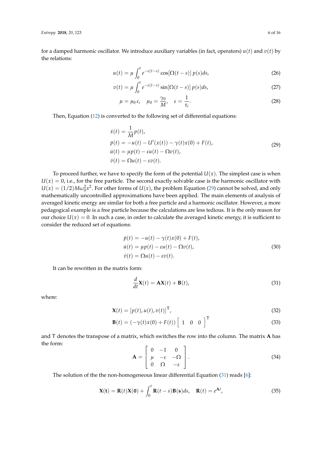for a damped harmonic oscillator. We introduce auxiliary variables (in fact, operators)  $u(t)$  and  $v(t)$  by the relations:

$$
u(t) = \mu \int_0^t e^{-\varepsilon(t-s)} \cos[\Omega(t-s)] p(s) ds,
$$
 (26)

$$
v(t) = \mu \int_0^t e^{-\varepsilon(t-s)} \sin[\Omega(t-s)] p(s) ds,
$$
\n(27)

<span id="page-6-3"></span>
$$
\mu = \mu_0 \,\varepsilon, \quad \mu_0 = \frac{\gamma_0}{M}, \quad \varepsilon = \frac{1}{\tau_c}.
$$
\n(28)

Then, Equation [\(12\)](#page-3-5) is converted to the following set of differential equations:

<span id="page-6-0"></span>
$$
\begin{aligned}\n\dot{x}(t) &= \frac{1}{M}p(t), \\
\dot{p}(t) &= -u(t) - U'(x(t)) - \gamma(t)x(0) + F(t), \\
\dot{u}(t) &= \mu p(t) - \varepsilon u(t) - \Omega v(t), \\
\dot{v}(t) &= \Omega u(t) - \varepsilon v(t).\n\end{aligned} \tag{29}
$$

To proceed further, we have to specify the form of the potential  $U(x)$ . The simplest case is when  $U(x) = 0$ , i.e., for the free particle. The second exactly solvable case is the harmonic oscillator with  $U(x) = (1/2)M\omega_0^2 x^2$ . For other forms of  $U(x)$ , the problem Equation [\(29\)](#page-6-0) cannot be solved, and only mathematically uncontrolled approximations have been applied. The main elements of analysis of averaged kinetic energy are similar for both a free particle and a harmonic oscillator. However, a more pedagogical example is a free particle because the calculations are less tedious. It is the only reason for our choice  $U(x) = 0$ . In such a case, in order to calculate the averaged kinetic energy, it is sufficient to consider the reduced set of equations:

$$
\dot{p}(t) = -u(t) - \gamma(t)x(0) + F(t),
$$
  
\n
$$
\dot{u}(t) = \mu p(t) - \varepsilon u(t) - \Omega v(t),
$$
  
\n
$$
\dot{v}(t) = \Omega u(t) - \varepsilon v(t).
$$
\n(30)

It can be rewritten in the matrix form:

<span id="page-6-1"></span>
$$
\frac{d}{dt}\mathbf{X}(t) = \mathbf{A}\mathbf{X}(t) + \mathbf{B}(t),
$$
\n(31)

where:

$$
\mathbf{X}(t) = [p(t), u(t), v(t)]^{\mathsf{T}},
$$
\n(32)

$$
\mathbf{B}(t) = \left(-\gamma(t)x(0) + F(t)\right) \begin{bmatrix} 1 & 0 & 0 \end{bmatrix}^{\mathsf{T}}
$$
\n(33)

and T denotes the transpose of a matrix, which switches the row into the column. The matrix **A** has the form:  $\overline{a}$ 

$$
\mathbf{A} = \begin{bmatrix} 0 & -1 & 0 \\ \mu & -\varepsilon & -\Omega \\ 0 & \Omega & -\varepsilon \end{bmatrix}.
$$
 (34)

The solution of the the non-homogeneous linear differential Equation [\(31\)](#page-6-1) reads [\[6\]](#page-15-5):

<span id="page-6-2"></span>
$$
\mathbf{X(t)} = \mathbf{R}(t)\mathbf{X(0)} + \int_0^t \mathbf{R}(t-s)\mathbf{B(s)}ds, \quad \mathbf{R}(t) = e^{\mathbf{A}t},
$$
\n(35)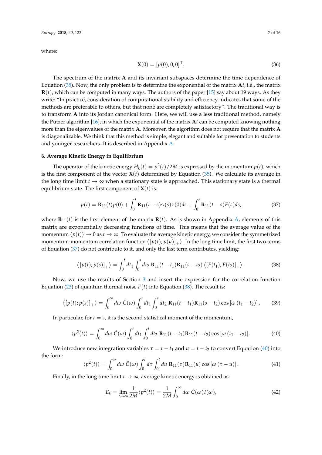where:

$$
\mathbf{X}(0) = [p(0), 0, 0]^\mathsf{T}.\tag{36}
$$

The spectrum of the matrix **A** and its invariant subspaces determine the time dependence of Equation [\(35\)](#page-6-2). Now, the only problem is to determine the exponential of the matrix **A***t*, i.e., the matrix **R**(*t*), which can be computed in many ways. The authors of the paper [\[15\]](#page-16-2) say about 19 ways. As they write: "In practice, consideration of computational stability and efficiency indicates that some of the methods are preferable to others, but that none are completely satisfactory". The traditional way is to transform **A** into its Jordan canonical form. Here, we will use a less traditional method, namely the Putzer algorithm [\[16\]](#page-16-3), in which the exponential of the matrix **A***t* can be computed knowing nothing more than the eigenvalues of the matrix **A**. Moreover, the algorithm does not require that the matrix **A** is diagonalizable. We think that this method is simple, elegant and suitable for presentation to students and younger researchers. It is described in Appendix [A.](#page-13-0)

#### <span id="page-7-0"></span>**6. Average Kinetic Energy in Equilibrium**

The operator of the kinetic energy  $H_k(t) = p^2(t)/2M$  is expressed by the momentum  $p(t)$ , which is the first component of the vector  $X(t)$  determined by Equation [\(35\)](#page-6-2). We calculate its average in the long time limit  $t \to \infty$  when a stationary state is approached. This stationary state is a thermal equilibrium state. The first component of  $X(t)$  is:

<span id="page-7-1"></span>
$$
p(t) = \mathbf{R}_{11}(t)p(0) + \int_0^t \mathbf{R}_{11}(t-s)\gamma(s)x(0)ds + \int_0^t \mathbf{R}_{11}(t-s)F(s)ds,
$$
\n(37)

where  $\mathbf{R}_{11}(t)$  is the first element of the matrix  $\mathbf{R}(t)$ . As is shown in Appendix [A,](#page-13-0) elements of this matrix are exponentially decreasing functions of time. This means that the average value of the momentum  $\langle p(t) \rangle \to 0$  as  $t \to \infty$ . To evaluate the average kinetic energy, we consider the symmetrized momentum-momentum correlation function  $\langle [p(t);p(u)]_+\rangle$ . In the long time limit, the first two terms of Equation [\(37\)](#page-7-1) do not contribute to it, and only the last term contributes, yielding:

<span id="page-7-2"></span>
$$
\langle [p(t);p(s)]_+ \rangle = \int_0^t dt_1 \int_0^s dt_2 \, \mathbf{R}_{11}(t-t_1) \mathbf{R}_{11}(s-t_2) \langle [F(t_1);F(t_2)]_+ \rangle \,. \tag{38}
$$

Now, we use the results of Section [3](#page-4-0) and insert the expression for the correlation function Equation [\(23\)](#page-4-5) of quantum thermal noise  $F(t)$  into Equation [\(38\)](#page-7-2). The result is:

$$
\langle [p(t);p(s)]_+ \rangle = \int_0^\infty d\omega \; \hat{C}(\omega) \int_0^t dt_1 \int_0^s dt_2 \; \mathbf{R}_{11}(t-t_1) \mathbf{R}_{11}(s-t_2) \cos[\omega(t_1-t_2)]. \tag{39}
$$

In particular, for  $t = s$ , it is the second statistical moment of the momentum,

<span id="page-7-3"></span>
$$
\langle p^2(t) \rangle = \int_0^\infty d\omega \; \hat{C}(\omega) \int_0^t dt_1 \int_0^t dt_2 \; \mathbf{R}_{11}(t - t_1) \mathbf{R}_{11}(t - t_2) \cos \left[\omega \left(t_1 - t_2\right)\right]. \tag{40}
$$

We introduce new integration variables  $\tau = t - t_1$  and  $u = t - t_2$  to convert Equation [\(40\)](#page-7-3) into the form:

$$
\langle p^2(t) \rangle = \int_0^\infty d\omega \, \hat{C}(\omega) \int_0^t d\tau \int_0^t du \, \mathbf{R}_{11}(\tau) \mathbf{R}_{11}(u) \cos \left[\omega \left(\tau - u\right)\right]. \tag{41}
$$

Finally, in the long time limit  $t \to \infty$ , average kinetic energy is obtained as:

<span id="page-7-4"></span>
$$
E_k = \lim_{t \to \infty} \frac{1}{2M} \langle p^2(t) \rangle = \frac{1}{2M} \int_0^\infty d\omega \,\hat{C}(\omega) I(\omega), \tag{42}
$$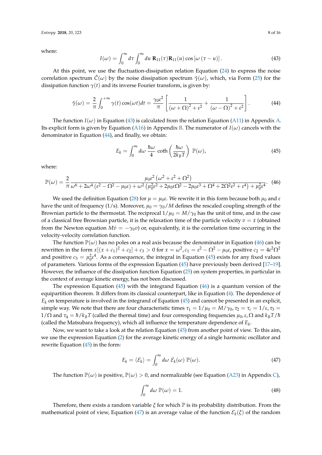where:

<span id="page-8-0"></span>
$$
I(\omega) = \int_0^\infty d\tau \int_0^\infty du \ \mathbf{R}_{11}(\tau) \mathbf{R}_{11}(u) \cos\left[\omega\left(\tau - u\right)\right]. \tag{43}
$$

At this point, we use the fluctuation-dissipation relation Equation [\(24\)](#page-4-2) to express the noise correlation spectrum  $\hat{C}(\omega)$  by the noise dissipation spectrum  $\hat{\gamma}(\omega)$ , which, via Form [\(25\)](#page-5-2) for the dissipation function  $\gamma(t)$  and its inverse Fourier transform, is given by:

$$
\hat{\gamma}(\omega) = \frac{2}{\pi} \int_0^{+\infty} \gamma(t) \cos(\omega t) dt = \frac{\gamma_0 \varepsilon^2}{\pi} \left[ \frac{1}{(\omega + \Omega)^2 + \varepsilon^2} + \frac{1}{(\omega - \Omega)^2 + \varepsilon^2} \right].
$$
 (44)

The function  $I(\omega)$  in Equation [\(43\)](#page-8-0) is calculated from the relation Equation [\(A11\)](#page-13-1) in Appendix [A.](#page-13-0) Its explicit form is given by Equation [\(A16\)](#page-14-1) in Appendix [B.](#page-14-2) The numerator of  $I(\omega)$  cancels with the denominator in Equation [\(44\)](#page-8-1), and finally, we obtain:

<span id="page-8-3"></span><span id="page-8-1"></span>
$$
E_k = \int_0^\infty d\omega \, \frac{\hbar \omega}{4} \coth\left(\frac{\hbar \omega}{2k_B T}\right) \, \mathbb{P}(\omega),\tag{45}
$$

where:

<span id="page-8-2"></span>
$$
\mathbb{P}(\omega) = \frac{2}{\pi} \frac{\mu_0 \varepsilon^2 \left(\omega^2 + \varepsilon^2 + \Omega^2\right)}{\omega^6 + 2\omega^4 \left(\varepsilon^2 - \Omega^2 - \mu_0 \varepsilon\right) + \omega^2 \left(\mu_0^2 \varepsilon^2 + 2\mu_0 \varepsilon \Omega^2 - 2\mu_0 \varepsilon^3 + \Omega^4 + 2\Omega^2 \varepsilon^2 + \varepsilon^4\right) + \mu_0^2 \varepsilon^4}.
$$
 (46)

We used the definition Equation [\(28\)](#page-6-3) for  $\mu = \mu_0 \varepsilon$ . We rewrite it in this form because both  $\mu_0$  and *ε* have the unit of frequency (1/s). Moreover,  $\mu_0 = \gamma_0/M$  defines the rescaled coupling strength of the Brownian particle to the thermostat. The reciprocal  $1/\mu_0 = M/\gamma_0$  has the unit of time, and in the case of a classical free Brownian particle, it is the relaxation time of the particle velocity  $v = \dot{x}$  (obtained from the Newton equation  $M\dot{v} = -\gamma_0 v$  or, equivalently, it is the correlation time occurring in the velocity-velocity correlation function.

The function  $\mathbb{P}(\omega)$  has no poles on a real axis because the denominator in Equation [\(46\)](#page-8-2) can be rewritten in the form  $x[(x+c_1)^2+c_2]+c_3>0$  for  $x=\omega^2$ ,  $c_1=\varepsilon^2-\Omega^2-\mu_0\varepsilon$ , positive  $c_2=4\varepsilon^2\Omega^2$ and positive  $c_3 = \mu_0^2 \varepsilon^4$ . As a consequence, the integral in Equation [\(45\)](#page-8-3) exists for any fixed values of parameters. Various forms of the expression Equation [\(45\)](#page-8-3) have previously been derived [\[17–](#page-16-4)[19\]](#page-16-5). However, the influence of the dissipation function Equation [\(25\)](#page-5-2) on system properties, in particular in the context of average kinetic energy, has not been discussed.

The expression Equation  $(45)$  with the integrand Equation  $(46)$  is a quantum version of the equipartition theorem. It differs from its classical counterpart, like in Equation [\(4\)](#page-2-1). The dependence of  $E_k$  on temperature is involved in the integrand of Equation [\(45\)](#page-8-3) and cannot be presented in an explicit, simple way. We note that there are four characteristic times  $\tau_1 = 1/\mu_0 = M/\gamma_0$ ,  $\tau_2 = \tau_c = 1/\varepsilon$ ,  $\tau_3 =$  $1/\Omega$  and  $\tau_4 = \hbar/k_BT$  (called the thermal time) and four corresponding frequencies  $\mu_0, \varepsilon, \Omega$  and  $k_BT/\hbar$ (called the Matsubara frequency), which all influence the temperature dependence of *E<sup>k</sup>* .

Now, we want to take a look at the relation Equation [\(45\)](#page-8-3) from another point of view. To this aim, we use the expression Equation [\(2\)](#page-2-0) for the average kinetic energy of a single harmonic oscillator and rewrite Equation [\(45\)](#page-8-3) in the form:

<span id="page-8-4"></span>
$$
E_k = \langle \mathcal{E}_k \rangle = \int_0^\infty d\omega \; \mathcal{E}_k(\omega) \; \mathbb{P}(\omega). \tag{47}
$$

The function  $\mathbb{P}(\omega)$  is positive,  $\mathbb{P}(\omega) > 0$ , and normalizable (see Equation [\(A23\)](#page-15-7) in Appendix [C\)](#page-14-0),

<span id="page-8-5"></span>
$$
\int_0^\infty d\omega \, \mathbb{P}(\omega) = 1. \tag{48}
$$

Therefore, there exists a random variable *ξ* for which P is its probability distribution. From the mathematical point of view, Equation [\(47\)](#page-8-4) is an average value of the function  $\mathcal{E}_k(\xi)$  of the random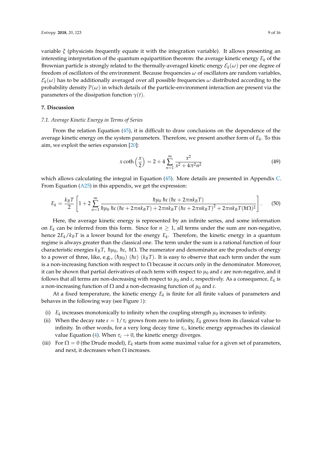variable *ξ* (physicists frequently equate it with the integration variable). It allows presenting an interesting interpretation of the quantum equipartition theorem: the average kinetic energy  $E_k$  of the Brownian particle is strongly related to the thermally-averaged kinetic energy  $\mathcal{E}_k(\omega)$  per one degree of freedom of oscillators of the environment. Because frequencies *ω* of oscillators are random variables,  $\mathcal{E}_k(\omega)$  has to be additionally averaged over all possible frequencies  $\omega$  distributed according to the probability density  $\mathbb{P}(\omega)$  in which details of the particle-environment interaction are present via the parameters of the dissipation function  $\gamma(t)$ .

#### <span id="page-9-0"></span>**7. Discussion**

#### *7.1. Average Kinetic Energy in Terms of Series*

From the relation Equation [\(45\)](#page-8-3), it is difficult to draw conclusions on the dependence of the average kinetic energy on the system parameters. Therefore, we present another form of *E<sup>k</sup>* . To this aim, we exploit the series expansion [\[20\]](#page-16-6):

<span id="page-9-2"></span><span id="page-9-1"></span>
$$
x \coth\left(\frac{x}{2}\right) = 2 + 4 \sum_{n=1}^{\infty} \frac{x^2}{x^2 + 4\pi^2 n^2}
$$
 (49)

which allows calculating the integral in Equation [\(45\)](#page-8-3). More details are presented in Appendix [C.](#page-14-0) From Equation [\(A25\)](#page-15-8) in this appendix, we get the expression:

$$
E_k = \frac{k_B T}{2} \left[ 1 + 2 \sum_{n=1}^{\infty} \frac{\hbar \mu_0 \hbar \varepsilon (\hbar \varepsilon + 2 \pi n k_B T)}{\hbar \mu_0 \hbar \varepsilon (\hbar \varepsilon + 2 \pi n k_B T) + 2 \pi n k_B T (\hbar \varepsilon + 2 \pi n k_B T)^2 + 2 \pi n k_B T (\hbar \Omega)^2} \right].
$$
 (50)

Here, the average kinetic energy is represented by an infinite series, and some information on  $E_k$  can be inferred from this form. Since for  $n \geq 1$ , all terms under the sum are non-negative, hence 2*Ek*/*kBT* is a lower bound for the energy *E<sup>k</sup>* . Therefore, the kinetic energy in a quantum regime is always greater than the classical one. The term under the sum is a rational function of four characteristic energies  $k_B T$ ,  $h\mu_0$ ,  $\hbar\epsilon$ ,  $\hbar\Omega$ . The numerator and denominator are the products of energy to a power of three, like, e.g.,  $(h\mu_0)$  ( $\hbar\epsilon$ ) ( $k_BT$ ). It is easy to observe that each term under the sum is a non-increasing function with respect to  $\Omega$  because it occurs only in the denominator. Moreover, it can be shown that partial derivatives of each term with respect to  $\mu_0$  and  $\varepsilon$  are non-negative, and it follows that all terms are non-decreasing with respect to *µ*<sup>0</sup> and *ε*, respectively. As a consequence, *E<sup>k</sup>* is a non-increasing function of  $Ω$  and a non-decreasing function of  $μ_0$  and  $ε$ .

At a fixed temperature, the kinetic energy  $E_k$  is finite for all finite values of parameters and behaves in the following way (see Figure [1\)](#page-10-0):

- (i)  $E_k$  increases monotonically to infinity when the coupling strength  $\mu_0$  increases to infinity.
- (ii) When the decay rate  $\varepsilon = 1/\tau_c$  grows from zero to infinity,  $E_k$  grows from its classical value to infinity. In other words, for a very long decay time  $\tau_c$ , kinetic energy approaches its classical value Equation [\(4\)](#page-2-1). When  $\tau_c \rightarrow 0$ , the kinetic energy diverges.
- (iii) For  $\Omega = 0$  (the Drude model),  $E_k$  starts from some maximal value for a given set of parameters, and next, it decreases when  $\Omega$  increases.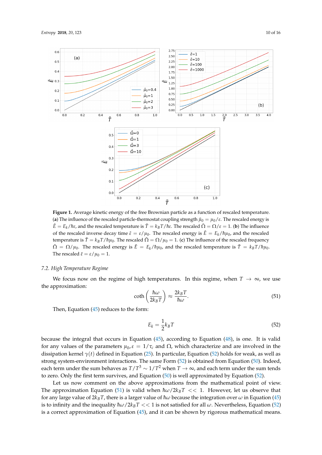<span id="page-10-0"></span>

**Figure 1.** Average kinetic energy of the free Brownian particle as a function of rescaled temperature. (a) The influence of the rescaled particle-thermostat coupling strength  $\tilde{\mu}_0 = \mu_0/\epsilon$ . The rescaled energy is  $\tilde{E} = E_k/\hbar \epsilon$ , and the rescaled temperature is  $\tilde{T} = k_B T/\hbar \epsilon$ . The rescaled  $\tilde{\Omega} = \Omega/\epsilon = 1$ . (**b**) The influence of the rescaled inverse decay time  $\tilde{\varepsilon} = \varepsilon / \mu_0$ . The rescaled energy is  $\tilde{E} = E_k / \hbar \mu_0$ , and the rescaled temperature is  $\tilde{T} = k_B T / \hbar \mu_0$ . The rescaled  $\tilde{\Omega} = \Omega / \mu_0 = 1$ . (c) The influence of the rescaled frequency  $\tilde{\Omega} = \Omega / \mu_0$ . The rescaled energy is  $\tilde{E} = E_k / \hbar \mu_0$ , and the rescaled temperature is  $\tilde{T} = k_B T / \hbar \mu_0$ . The rescaled  $\tilde{\varepsilon} = \varepsilon / \mu_0 = 1$ .

#### *7.2. High Temperature Regime*

We focus now on the regime of high temperatures. In this regime, when  $T \to \infty$ , we use the approximation:

<span id="page-10-2"></span>
$$
\coth\left(\frac{\hbar\omega}{2k_BT}\right) \approx \frac{2k_BT}{\hbar\omega}.\tag{51}
$$

Then, Equation [\(45\)](#page-8-3) reduces to the form:

<span id="page-10-1"></span>
$$
E_k = \frac{1}{2}k_B T \tag{52}
$$

because the integral that occurs in Equation [\(45\)](#page-8-3), according to Equation [\(48\)](#page-8-5), is one. It is valid for any values of the parameters  $\mu_0$ ,  $\varepsilon = 1/\tau_c$  and  $\Omega$ , which characterize and are involved in the dissipation kernel *γ*(*t*) defined in Equation [\(25\)](#page-5-2). In particular, Equation [\(52\)](#page-10-1) holds for weak, as well as strong system-environment interactions. The same Form [\(52\)](#page-10-1) is obtained from Equation [\(50\)](#page-9-1). Indeed, each term under the sum behaves as  $T/T^3 \sim 1/T^2$  when  $T \to \infty$ , and each term under the sum tends to zero. Only the first term survives, and Equation [\(50\)](#page-9-1) is well approximated by Equation [\(52\)](#page-10-1).

Let us now comment on the above approximations from the mathematical point of view. The approximation Equation [\(51\)](#page-10-2) is valid when  $\hbar \omega / 2k_B T \ll 1$ . However, let us observe that for any large value of  $2k_BT$ , there is a larger value of  $\hbar\omega$  because the integration over  $\omega$  in Equation [\(45\)](#page-8-3) is to infinity and the inequality  $\hbar \omega / 2k_B T << 1$  is not satisfied for all  $\omega$ . Nevertheless, Equation [\(52\)](#page-10-1) is a correct approximation of Equation [\(45\)](#page-8-3), and it can be shown by rigorous mathematical means.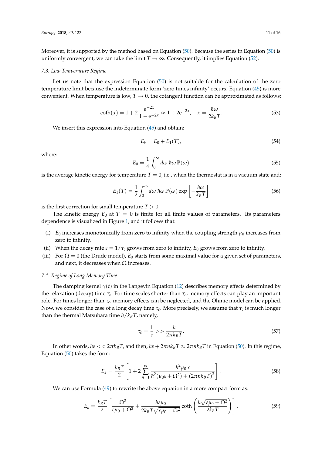Moreover, it is supported by the method based on Equation [\(50\)](#page-9-1). Because the series in Equation [\(50\)](#page-9-1) is uniformly convergent, we can take the limit  $T \to \infty$ . Consequently, it implies Equation [\(52\)](#page-10-1).

#### *7.3. Low Temperature Regime*

Let us note that the expression Equation [\(50\)](#page-9-1) is not suitable for the calculation of the zero temperature limit because the indeterminate form 'zero times infinity' occurs. Equation [\(45\)](#page-8-3) is more convenient. When temperature is low,  $T \rightarrow 0$ , the cotangent function can be approximated as follows:

$$
\coth(x) = 1 + 2 \frac{e^{-2x}}{1 - e^{-2x}} \approx 1 + 2e^{-2x}, \quad x = \frac{\hbar \omega}{2k_B T}.
$$
\n(53)

We insert this expression into Equation [\(45\)](#page-8-3) and obtain:

$$
E_k = E_0 + E_1(T),
$$
\n(54)

where:

$$
E_0 = \frac{1}{4} \int_0^\infty d\omega \; \hbar \omega \, \mathbb{P}(\omega) \tag{55}
$$

is the average kinetic energy for temperature  $T = 0$ , i.e., when the thermostat is in a vacuum state and:

$$
E_1(T) = \frac{1}{2} \int_0^\infty d\omega \; \hbar \omega \, \mathbb{P}(\omega) \exp\left[-\frac{\hbar \omega}{k_B T}\right] \tag{56}
$$

is the first correction for small temperature  $T > 0$ .

The kinetic energy  $E_0$  at  $T = 0$  is finite for all finite values of parameters. Its parameters dependence is visualized in Figure [1,](#page-10-0) and it follows that:

- (i)  $E_0$  increases monotonically from zero to infinity when the coupling strength  $\mu_0$  increases from zero to infinity.
- (ii) When the decay rate  $\varepsilon = 1/\tau_c$  grows from zero to infinity,  $E_0$  grows from zero to infinity.
- (iii) For  $\Omega = 0$  (the Drude model),  $E_0$  starts from some maximal value for a given set of parameters, and next, it decreases when  $\Omega$  increases.

#### *7.4. Regime of Long Memory Time*

The damping kernel  $\gamma(t)$  in the Langevin Equation [\(12\)](#page-3-5) describes memory effects determined by the relaxation (decay) time *τc*. For time scales shorter than *τc*, memory effects can play an important role. For times longer than *τc*, memory effects can be neglected, and the Ohmic model can be applied. Now, we consider the case of a long decay time *τc*. More precisely, we assume that *τc* is much longer than the thermal Matsubara time  $\hbar/k_BT$ , namely,

<span id="page-11-0"></span>
$$
\tau_c = \frac{1}{\varepsilon} \gg \frac{\hbar}{2\pi k_B T}.\tag{57}
$$

In other words,  $\hbar \varepsilon$  <<  $2\pi k_B T$ , and then,  $\hbar \varepsilon$  +  $2\pi n k_B T \approx 2\pi n k_B T$  in Equation [\(50\)](#page-9-1). In this regime, Equation [\(50\)](#page-9-1) takes the form:

$$
E_k = \frac{k_B T}{2} \left[ 1 + 2 \sum_{n=1}^{\infty} \frac{\hbar^2 \mu_0 \,\varepsilon}{\hbar^2 (\mu_0 \varepsilon + \Omega^2) + (2 \pi n k_B T)^2} \right].
$$
 (58)

We can use Formula [\(49\)](#page-9-2) to rewrite the above equation in a more compact form as:

$$
E_k = \frac{k_B T}{2} \left[ \frac{\Omega^2}{\varepsilon \mu_0 + \Omega^2} + \frac{\hbar \varepsilon \mu_0}{2k_B T \sqrt{\varepsilon \mu_0 + \Omega^2}} \coth\left( \frac{\hbar \sqrt{\varepsilon \mu_0 + \Omega^2}}{2k_B T} \right) \right].
$$
 (59)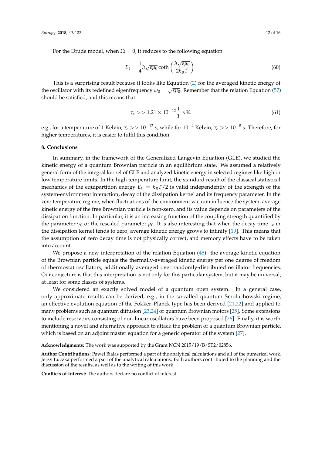For the Drude model, when  $\Omega = 0$ , it reduces to the following equation:

$$
E_k = \frac{1}{4} \hbar \sqrt{\varepsilon \mu_0} \coth\left(\frac{\hbar \sqrt{\varepsilon \mu_0}}{2k_B T}\right).
$$
 (60)

This is a surprising result because it looks like Equation [\(2\)](#page-2-0) for the averaged kinetic energy of the oscillator with its redefined eigenfrequency  $\omega_0 = \sqrt{\varepsilon \mu_0}$ . Remember that the relation Equation [\(57\)](#page-11-0) should be satisfied, and this means that:

$$
\tau_c >> 1.21 \times 10^{-12} \frac{1}{T} \text{ s K.}
$$
\n(61)

e.g., for a temperature of 1 Kelvin, *τ<sup>c</sup>* >> 10−<sup>12</sup> s, while for 10−<sup>4</sup> Kelvin, *τ<sup>c</sup>* >> 10−<sup>8</sup> s. Therefore, for higher temperatures, it is easier to fulfil this condition.

#### <span id="page-12-0"></span>**8. Conclusions**

In summary, in the framework of the Generalized Langevin Equation (GLE), we studied the kinetic energy of a quantum Brownian particle in an equilibrium state. We assumed a relatively general form of the integral kernel of GLE and analyzed kinetic energy in selected regimes like high or low temperature limits. In the high temperature limit, the standard result of the classical statistical mechanics of the equipartition energy  $E_k = k_B T/2$  is valid independently of the strength of the system-environment interaction, decay of the dissipation kernel and its frequency parameter. In the zero temperature regime, when fluctuations of the environment vacuum influence the system, average kinetic energy of the free Brownian particle is non-zero, and its value depends on parameters of the dissipation function. In particular, it is an increasing function of the coupling strength quantified by the parameter  $\gamma_0$  or the rescaled parameter  $\mu_0$ . It is also interesting that when the decay time  $\tau_c$  in the dissipation kernel tends to zero, average kinetic energy grows to infinity [\[19\]](#page-16-5). This means that the assumption of zero decay time is not physically correct, and memory effects have to be taken into account.

We propose a new interpretation of the relation Equation [\(45\)](#page-8-3): the average kinetic equation of the Brownian particle equals the thermally-averaged kinetic energy per one degree of freedom of thermostat oscillators, additionally averaged over randomly-distributed oscillator frequencies. Our conjecture is that this interpretation is not only for this particular system, but it may be universal, at least for some classes of systems.

We considered an exactly solved model of a quantum open system. In a general case, only approximate results can be derived, e.g., in the so-called quantum Smoluchowski regime, an effective evolution equation of the Fokker–Planck type has been derived [\[21](#page-16-7)[,22\]](#page-16-8) and applied to many problems such as quantum diffusion [\[23,](#page-16-9)[24\]](#page-16-10) or quantum Brownian motors [\[25\]](#page-16-11). Some extensions to include reservoirs consisting of non-linear oscillators have been proposed [\[26\]](#page-16-12). Finally, it is worth mentioning a novel and alternative approach to attack the problem of a quantum Brownian particle, which is based on an adjoint master equation for a generic operator of the system [\[27\]](#page-16-13).

**Acknowledgments:** The work was supported by the Grant NCN 2015/19/B/ST2/02856.

**Author Contributions:** Paweł Bialas performed a part of the analytical calculations and all of the numerical work. Jerzy Łuczka performed a part of the analytical calculations. Both authors contributed to the planning and the discussion of the results, as well as to the writing of this work.

**Conflicts of Interest:** The authors declare no conflict of interest.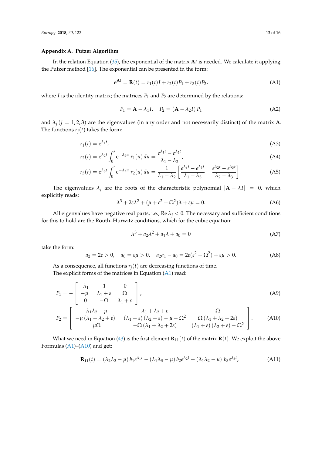#### <span id="page-13-0"></span>**Appendix A. Putzer Algorithm**

In the relation Equation [\(35\)](#page-6-2), the exponential of the matrix **A***t* is needed. We calculate it applying the Putzer method [\[16\]](#page-16-3). The exponential can be presented in the form:

<span id="page-13-2"></span>
$$
e^{At} = R(t) = r_1(t)I + r_2(t)P_1 + r_3(t)P_2,
$$
\n(A1)

where *I* is the identity matrix; the matrices  $P_1$  and  $P_2$  are determined by the relations:

$$
P_1 = \mathbf{A} - \lambda_1 I, \quad P_2 = (\mathbf{A} - \lambda_2 I) P_1 \tag{A2}
$$

and  $\lambda_j$  ( $j = 1, 2, 3$ ) are the eigenvalues (in any order and not necessarily distinct) of the matrix **A**. The functions  $r_j(t)$  takes the form:

$$
r_1(t) = e^{\lambda_1 t}, \tag{A3}
$$

$$
r_2(t) = e^{\lambda_2 t} \int_0^t e^{-\lambda_2 u} r_1(u) du = \frac{e^{\lambda_1 t} - e^{\lambda_2 t}}{\lambda_1 - \lambda_2},
$$
 (A4)

$$
r_3(t) = e^{\lambda_3 t} \int_0^t e^{-\lambda_3 u} r_2(u) du = \frac{1}{\lambda_1 - \lambda_2} \left[ \frac{e^{\lambda_1 t} - e^{\lambda_3 t}}{\lambda_1 - \lambda_3} - \frac{e^{\lambda_2 t} - e^{\lambda_3 t}}{\lambda_2 - \lambda_3} \right].
$$
 (A5)

The eigenvalues  $\lambda_j$  are the roots of the characteristic polynomial  $|\mathbf{A} - \lambda I| = 0$ , which explicitly reads:

<span id="page-13-4"></span>
$$
\lambda^3 + 2\varepsilon\lambda^2 + (\mu + \varepsilon^2 + \Omega^2)\lambda + \varepsilon\mu = 0.
$$
 (A6)

All eigenvalues have negative real parts, i.e.,  $\text{Re }\lambda_j < 0$ . The necessary and sufficient conditions for this to hold are the Routh–Hurwitz conditions, which for the cubic equation:

<span id="page-13-3"></span><span id="page-13-1"></span>
$$
\lambda^3 + a_2 \lambda^2 + a_1 \lambda + a_0 = 0 \tag{A7}
$$

take the form:

$$
a_2 = 2\varepsilon > 0, \quad a_0 = \varepsilon\mu > 0, \quad a_2a_1 - a_0 = 2\varepsilon(\varepsilon^2 + \Omega^2) + \varepsilon\mu > 0. \tag{A8}
$$

As a consequence, all functions  $r_j(t)$  are decreasing functions of time. The explicit forms of the matrices in Equation [\(A1\)](#page-13-2) read:

$$
P_1 = -\begin{bmatrix} \lambda_1 & 1 & 0 \\ -\mu & \lambda_1 + \varepsilon & \Omega \\ 0 & -\Omega & \lambda_1 + \varepsilon \end{bmatrix},
$$
 (A9)

$$
P_2 = \begin{bmatrix} \lambda_1 \lambda_2 - \mu & \lambda_1 + \lambda_2 + \varepsilon & \Omega \\ -\mu (\lambda_1 + \lambda_2 + \varepsilon) & (\lambda_1 + \varepsilon) (\lambda_2 + \varepsilon) - \mu - \Omega^2 & \Omega (\lambda_1 + \lambda_2 + 2\varepsilon) \\ \mu \Omega & -\Omega (\lambda_1 + \lambda_2 + 2\varepsilon) & (\lambda_1 + \varepsilon) (\lambda_2 + \varepsilon) - \Omega^2 \end{bmatrix}.
$$
 (A10)

What we need in Equation [\(43\)](#page-8-0) is the first element  $\mathbf{R}_{11}(t)$  of the matrix  $\mathbf{R}(t)$ . We exploit the above Formulas [\(A1\)](#page-13-2)–[\(A10\)](#page-13-3) and get:

$$
\mathbf{R}_{11}(t) = (\lambda_2 \lambda_3 - \mu) b_1 e^{\lambda_1 t} - (\lambda_1 \lambda_3 - \mu) b_2 e^{\lambda_2 t} + (\lambda_1 \lambda_2 - \mu) b_3 e^{\lambda_3 t},
$$
\n(A11)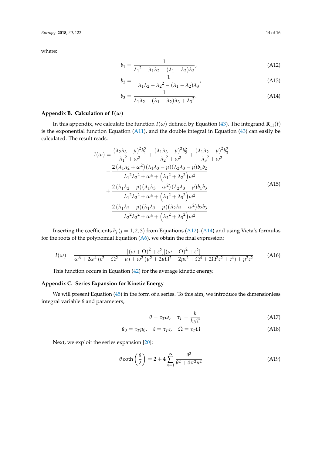where:

$$
b_1 = \frac{1}{\lambda_1^2 - \lambda_1 \lambda_2 - (\lambda_1 - \lambda_2)\lambda_3},\tag{A12}
$$

$$
b_2 = -\frac{1}{\lambda_1 \lambda_2 - \lambda_2^2 - (\lambda_1 - \lambda_2)\lambda_3},
$$
 (A13)

$$
b_3 = \frac{1}{\lambda_1 \lambda_2 - (\lambda_1 + \lambda_2)\lambda_3 + {\lambda_3}^2}.
$$
 (A14)

#### <span id="page-14-2"></span>**Appendix B. Calculation of**  $I(\omega)$

In this appendix, we calculate the function  $I(\omega)$  defined by Equation [\(43\)](#page-8-0). The integrand  $\mathbf{R}_{11}(t)$ is the exponential function Equation [\(A11\)](#page-13-1), and the double integral in Equation [\(43\)](#page-8-0) can easily be calculated. The result reads:

2

$$
I(\omega) = \frac{(\lambda_2 \lambda_3 - \mu)^2 b_1^2}{\lambda_1^2 + \omega^2} + \frac{(\lambda_1 \lambda_3 - \mu)^2 b_2^2}{\lambda_2^2 + \omega^2} + \frac{(\lambda_1 \lambda_2 - \mu)^2 b_3^2}{\lambda_3^2 + \omega^2} - \frac{2(\lambda_1 \lambda_2 + \omega^2)(\lambda_1 \lambda_3 - \mu)(\lambda_2 \lambda_3 - \mu) b_1 b_2}{\lambda_1^2 \lambda_2^2 + \omega^4 + (\lambda_1^2 + \lambda_2^2) \omega^2} + \frac{2(\lambda_1 \lambda_2 - \mu)(\lambda_1 \lambda_3 + \omega^2)(\lambda_2 \lambda_3 - \mu) b_1 b_3}{\lambda_1^2 \lambda_3^2 + \omega^4 + (\lambda_1^2 + \lambda_3^2) \omega^2} - \frac{2(\lambda_1 \lambda_2 - \mu)(\lambda_1 \lambda_3 - \mu)(\lambda_2 \lambda_3 + \omega^2) b_2 b_3}{\lambda_2^2 \lambda_3^2 + \omega^4 + (\lambda_2^2 + \lambda_3^2) \omega^2}
$$
\n
$$
(A15)
$$

<span id="page-14-4"></span><span id="page-14-3"></span>2

Inserting the coefficients  $b_j$  ( $j = 1, 2, 3$ ) from Equations [\(A12\)](#page-14-3)–[\(A14\)](#page-14-4) and using Vieta's formulas for the roots of the polynomial Equation  $(A6)$ , we obtain the final expression:

<span id="page-14-1"></span>
$$
I(\omega) = \frac{[(\omega + \Omega)^2 + \varepsilon^2][( \omega - \Omega)^2 + \varepsilon^2]}{\omega^6 + 2\omega^4 (\varepsilon^2 - \Omega^2 - \mu) + \omega^2 (\mu^2 + 2\mu\Omega^2 - 2\mu\varepsilon^2 + \Omega^4 + 2\Omega^2\varepsilon^2 + \varepsilon^4) + \mu^2\varepsilon^2}
$$
(A16)

This function occurs in Equation [\(42\)](#page-7-4) for the average kinetic energy.

#### <span id="page-14-0"></span>**Appendix C. Series Expansion for Kinetic Energy**

We will present Equation [\(45\)](#page-8-3) in the form of a series. To this aim, we introduce the dimensionless integral variable *θ* and parameters,

$$
\theta = \tau_T \omega, \quad \tau_T = \frac{\hbar}{k_B T} \tag{A17}
$$

$$
\hat{\mu}_0 = \tau_T \mu_0, \quad \hat{\varepsilon} = \tau_T \varepsilon, \quad \hat{\Omega} = \tau_T \Omega \tag{A18}
$$

Next, we exploit the series expansion [\[20\]](#page-16-6):

$$
\theta \coth\left(\frac{\theta}{2}\right) = 2 + 4 \sum_{n=1}^{\infty} \frac{\theta^2}{\theta^2 + 4\pi^2 n^2}
$$
 (A19)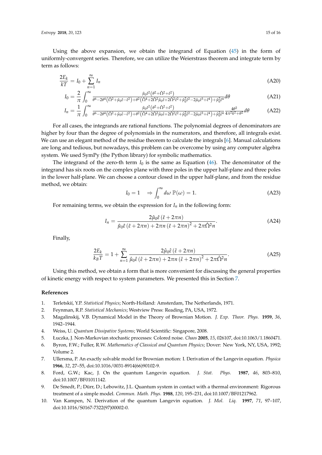*Entropy* **2018**, *20*, 123 15 of 16

Using the above expansion, we obtain the integrand of Equation  $(45)$  in the form of uniformly-convergent series. Therefore, we can utilize the Weierstrass theorem and integrate term by term as follows:

$$
\frac{2E_k}{kT} = I_0 + \sum_{n=1}^{\infty} I_n \tag{A20}
$$

$$
I_0 = \frac{2}{\pi} \int_0^\infty \frac{\hat{\mu}_0 \hat{\epsilon}^2 (\theta^2 + \hat{\Omega}^2 + \hat{\epsilon}^2)}{\theta^6 - 2\theta^4 (\hat{\Omega}^2 + \hat{\mu}_0 \hat{\epsilon} - \hat{\epsilon}^2) + \theta^2 (\hat{\Omega}^4 + 2\hat{\Omega}^2 \hat{\mu}_0 \hat{\epsilon} + 2\hat{\Omega}^2 \hat{\epsilon}^2 + \hat{\mu}_0^2 \hat{\epsilon}^2 - 2\hat{\mu}_0 \hat{\epsilon}^3 + \hat{\epsilon}^4) + \hat{\mu}_0^2 \hat{\epsilon}^4} d\theta
$$
(A21)

$$
I_n = \frac{1}{\pi} \int_0^\infty \frac{\hat{\mu}_0 \hat{\varepsilon}^2 (\theta^2 + \hat{\Omega}^2 + \hat{\varepsilon}^2)}{\theta^6 - 2\theta^4 (\hat{\Omega}^2 + \hat{\mu}_0 \hat{\varepsilon} - \hat{\varepsilon}^2) + \theta^2 (\hat{\Omega}^4 + 2\hat{\Omega}^2 \hat{\mu}_0 \hat{\varepsilon} + 2\hat{\Omega}^2 \hat{\varepsilon}^2 + \hat{\mu}_0^2 \hat{\varepsilon}^2 - 2\hat{\mu}_0 \hat{\varepsilon}^3 + \hat{\varepsilon}^4) + \hat{\mu}_0^2 \hat{\varepsilon}^4} \frac{4\theta^2}{4\pi^2 k^2 + \theta^2} d\theta \tag{A22}
$$

For all cases, the integrands are rational functions. The polynomial degrees of denominators are higher by four than the degree of polynomials in the numerators, and therefore, all integrals exist. We can use an elegant method of the residue theorem to calculate the integrals [\[6\]](#page-15-5). Manual calculations are long and tedious, but nowadays, this problem can be overcome by using any computer algebra system. We used SymPy (the Python library) for symbolic mathematics.

The integrand of the zero-th term  $I_0$  is the same as Equation  $(46)$ . The denominator of the integrand has six roots on the complex plane with three poles in the upper half-plane and three poles in the lower half-plane. We can choose a contour closed in the upper half-plane, and from the residue method, we obtain:

<span id="page-15-8"></span><span id="page-15-7"></span>
$$
I_0 = 1 \quad \Rightarrow \int_0^\infty d\omega \, \mathbb{P}(\omega) = 1. \tag{A23}
$$

For remaining terms, we obtain the expression for  $I_n$  in the following form:

$$
I_n = \frac{2\hat{\mu}_0 \hat{\varepsilon} \left(\hat{\varepsilon} + 2\pi n\right)}{\hat{\mu}_0 \hat{\varepsilon} \left(\hat{\varepsilon} + 2\pi n\right) + 2\pi n \left(\hat{\varepsilon} + 2\pi n\right)^2 + 2\pi \hat{\Omega}^2 n}.
$$
\n(A24)

Finally,

$$
\frac{2E_k}{k_B T} = 1 + \sum_{n=1}^{\infty} \frac{2\hat{\mu}_0 \hat{\varepsilon} \left(\hat{\varepsilon} + 2\pi n\right)}{\hat{\mu}_0 \hat{\varepsilon} \left(\hat{\varepsilon} + 2\pi n\right) + 2\pi n \left(\hat{\varepsilon} + 2\pi n\right)^2 + 2\pi \hat{\Omega}^2 n}.
$$
\n(A25)

Using this method, we obtain a form that is more convenient for discussing the general properties of kinetic energy with respect to system parameters. We presented this in Section [7.](#page-9-0)

#### **References**

- <span id="page-15-0"></span>1. Terletskií, Y.P. *Statistical Physics*; North-Holland: Amsterdam, The Netherlands, 1971.
- <span id="page-15-1"></span>2. Feynman, R.P. *Statistical Mechanics*; Westview Press: Reading, PA, USA, 1972.
- <span id="page-15-2"></span>3. Magalinskij, V.B. Dynamical Model in the Theory of Brownian Motion. *J. Exp. Theor. Phys.* **1959**, *36*, 1942–1944.
- <span id="page-15-3"></span>4. Weiss, U. *Quantum Dissipative Systems*; World Scientific: Singapore, 2008.
- <span id="page-15-4"></span>5. Łuczka, J. Non-Markovian stochastic processes: Colored noise. *Chaos* **2005**, *15*, 026107, doi:10.1063/1.1860471.
- <span id="page-15-5"></span>6. Byron, F.W.; Fuller, R.W. *Mathematics of Classical and Quantum Physics*; Dover: New York, NY, USA, 1992; Volume 2.
- <span id="page-15-6"></span>7. Ullersma, P. An exactly solvable model for Brownian motion: I. Derivation of the Langevin equation. *Physica* **1966**, *32*, 27–55, doi:10.1016/0031-8914(66)90102-9.
- 8. Ford, G.W.; Kac, J. On the quantum Langevin equation. *J. Stat. Phys.* **1987**, *46*, 803–810, doi:10.1007/BF01011142.
- 9. De Smedt, P.; Dürr, D.; Lebowitz, J.L. Quantum system in contact with a thermal environment: Rigorous treatment of a simple model. *Commun. Math. Phys.* **1988**, *120*, 195–231, doi:10.1007/BF01217962.
- 10. Van Kampen, N. Derivation of the quantum Langevin equation. *J. Mol. Liq.* **1997**, *71*, 97–107, doi:10.1016/S0167-7322(97)00002-0.